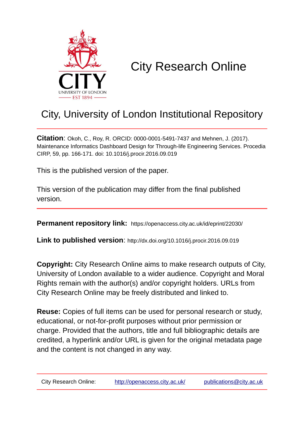

# City Research Online

# City, University of London Institutional Repository

**Citation**: Okoh, C., Roy, R. ORCID: 0000-0001-5491-7437 and Mehnen, J. (2017). Maintenance Informatics Dashboard Design for Through-life Engineering Services. Procedia CIRP, 59, pp. 166-171. doi: 10.1016/j.procir.2016.09.019

This is the published version of the paper.

This version of the publication may differ from the final published version.

**Permanent repository link:** https://openaccess.city.ac.uk/id/eprint/22030/

**Link to published version**: http://dx.doi.org/10.1016/j.procir.2016.09.019

**Copyright:** City Research Online aims to make research outputs of City, University of London available to a wider audience. Copyright and Moral Rights remain with the author(s) and/or copyright holders. URLs from City Research Online may be freely distributed and linked to.

**Reuse:** Copies of full items can be used for personal research or study, educational, or not-for-profit purposes without prior permission or charge. Provided that the authors, title and full bibliographic details are credited, a hyperlink and/or URL is given for the original metadata page and the content is not changed in any way.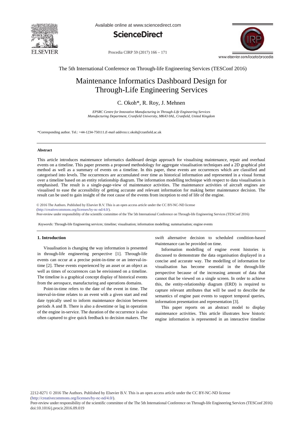

Available online at www.sciencedirect.com





Procedia CIRP 59 (2017) 166 - 171

The 5th International Conference on Through-life Engineering Services (TESConf 2016)

# Maintenance Informatics Dashboard Design for Through-Life Engineering Services

# C. Okoh\*, R. Roy, J. Mehnen

*EPSRC Centre for Innovative Manufacturing in Through-Life Engineering Services Manufacturing Department, Cranfield University, MK43 0AL, Cranfield, United Kingdom*

\*Corresponding author. Tel.: +44-1234-750111.*E-mail address:*c.okoh@cranfield.ac.uk

#### **Abstract**

This article introduces maintenance informatics dashboard design approach for visualising maintenance, repair and overhaul events on a timeline. This paper presents a proposed methodology for aggregate visualisation techniques and a 2D graphical plot method as well as a summary of events on a timeline. In this paper, these events are occurrences which are classified and categorised into levels. The occurrences are accumulated over time as historical information and represented in a visual format over a timeline based on an entity relationship diagram. The information modelling technique with respect to data visualisation is emphasised. The result is a single-page-view of maintenance activities. The maintenance activities of aircraft engines are visualised to ease the accessibility of getting accurate and relevant information for making better maintenance decision. The result can be used to gain insight of the root cause of the events from inception to end of life of the engine.

© 2016 The Authors. Published by Elsevier B.V. © 2016 The Authors. Published by Elsevier B.V. This is an open access article under the CC BY-NC-ND license (http://creativecommons.org/licenses/by-nc-nd/4.0/).

(TESConf 2016). Peer-review under responsibility of the scientifi c committee of the The 5th International Conference on Through-life Engineering Services (TESConf 2016)

*Keywords:* Through-life Engineering services; timeline; visualisation; information modelling; summarisation; engine events

# **1. Introduction**

Visualisation is changing the way information is presented in through-life engineering perspective [1]. Through-life events can occur at a precise point-in-time or an interval-intime [2]. These events experienced by an asset or an object as well as times of occurrences can be envisioned on a timeline. The timeline is a graphical concept display of historical events from the aerospace, manufacturing and operations domains.

Point-in-time refers to the date of the event in time. The interval-in-time relates to an event with a given start and end date typically used to inform maintenance decision between periods A and B. There is also a downtime or lag in operation of the engine in-service. The duration of the occurrence is also often captured to give quick feedback to decision makers. The swift alternative decision to scheduled condition-based maintenance can be provided on time.

Information modelling of engine event histories is discussed to demonstrate the data organisation displayed in a concise and accurate way. The modelling of information for visualisation has become essential in the through-life perspective because of the increasing amount of data that cannot that be viewed on a single screen. In order to achieve this, the entity-relationship diagram (ERD) is required to capture relevant attributes that will be used to describe the semantics of engine past events to support temporal queries, information presentation and representation [3].

This paper reports on an abstract model to display maintenance activities. This article illustrates how historic engine information is represented in an interactive timeline

Peer-review under responsibility of the scientific committee of the The 5th International Conference on Through-life Engineering Services (TESConf 2016) doi: 10.1016/j.procir.2016.09.019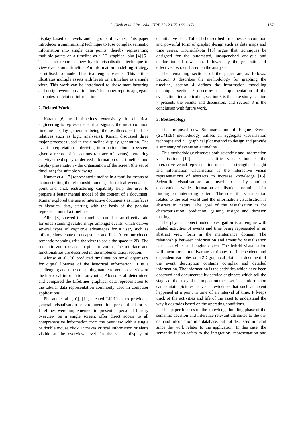display based on levels and a group of events. This paper introduces a summarising technique to fuse complex semantic information into single data points, thereby representing multiple points on a timeline as a 2D graphical plot [4],[5]. This paper reports a new hybrid visualisation technique to view events on a timeline. An information modelling strategy is utilised to model historical engine events. This article illustrates multiple assets with levels on a timeline as a single view. This work can be introduced to show manufacturing and design events on a timeline. This paper reports aggregate attributes as detailed information.

# **2. Related Work**

Karam [6] used timelines extensively in electrical engineering to represent electrical signals, the most common timeline display generator being the oscilloscope (and its relatives such as logic analysers). Karam discussed three major processes used in the timeline display generation. The event interpretation - deriving information about a system given a record of its actions (a trace of events); rendering activity- the display of derived information on a timeline; and display presentation - the organisation of the screen (the set of timelines) for suitable viewing.

Kumar et al. [7] represented timeline in a familiar means of demonstrating the relationship amongst historical events. The point and click restructuring capability help the user to prepare a better mental model of the content of a document. Kumar explored the use of interactive documents as interfaces to historical data, starting with the basis of the popular representation of a timeline.

Allen [8] showed that timelines could be an effective aid for understanding relationships amongst events which deliver several types of cognitive advantages for a user, such as inform, show context, encapsulate and link. Allen introduced semantic zooming with the view to scale the space in 2D. The semantic zoom relates to pinch-to-zoom. The interface and functionalities are described in the implementation section.

Alonso et al. [9] produced timelines on novel organisers for digital libraries of the historical information. It is a challenging and time-consuming nature to get an overview of the historical information on youths. Alonso et al. determined and compared the LifeLines graphical data representation to the tabular data representation commonly used in computer applications.

Plaisant et al. [10], [11] created LifeLines to provide a general visualisation environment for personal histories. LifeLines were implemented to present a personal history overview on a single screen, offer direct access to all comprehensive information from the overview with a single or double mouse click. It makes critical information or alerts visible at the overview level. In the visual display of

quantitative data, Tufte [12] described timelines as a common and powerful form of graphic design such as data maps and time series. Kocherlakota [13] argue that techniques be designed for the automated, unsupervised analysis and exploration of raw data, followed by the generation of effective abstracts based on the analysis.

The remaining sections of the paper are as follows: Section 3 describes the methodology for graphing the timeline, section 4 defines the information modelling technique, section 5 describes the implementation of the events timeline application, section 6 is the case study, section 7 presents the results and discussion, and section 8 is the conclusion with future work.

# **3. Methodology**

The proposed new Summarisation of Engine Events (SUMEE) methodology utilises an aggregate visualisation technique and 2D graphical plot method to design and provide a summary of events on a timeline.

This methodology observes both scientific and information visualisation [14]. The scientific visualisation is the interactive visual representation of data to strengthen insight and information visualisation is the interactive visual representations of abstracts to increase knowledge [15]. Scientific visualisations are used to clarify familiar observations, while information visualisations are utilised for finding out interesting pattern. The scientific visualisation relates to the real world and the information visualisation is abstract in nature. The goal of the visualisation is for characterisation, prediction, gaining insight and decision making.

The physical object under investigation is an engine with related activities of events and time being represented in an abstract view form in the maintenance domain. The relationship between information and scientific visualisation is the activities and engine object. The hybrid visualisation will incorporate multivariate attributes of independent and dependent variables on a 2D graphical plot. The document of the event description contains complex and detailed information. The information is the activities which have been observed and documented by service engineers which tell the stages of the story of the impact on the asset. This information can contain pictures as visual evidence that such an event happened at a point in time of an interval of time. It keeps track of the activities and life of the asset to understand the way it degrades based on the operating conditions.

This paper focuses on the knowledge building phase of the semantic decision and inference relevant attributes to the ondemand information in a database, but not discussed in detail since the work relates to the application. In this case, the semantic fusion refers to the integration, representation and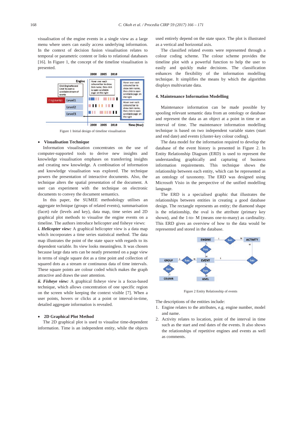visualisation of the engine events in a single view as a large menu where users can easily access underlying information. In the context of decision fusion visualisation relates to temporal or parametric content or links to relational databases [16]. In Figure 1, the concept of the timeline visualisation is presented.



Figure 1 Initial design of timeline visualisation

# x **Visualisation Technique**

Information visualisation concentrates on the use of computer-supported tools to derive new insights and knowledge visualisation emphases on transferring insights and creating new knowledge. A combination of information and knowledge visualisation was explored. The technique powers the presentation of interactive documents. Also, the technique alters the spatial presentation of the document. A user can experiment with the technique on electronic documents to convey the document semantics.

In this paper, the SUMEE methodology utilises an aggregate technique (groups of related events), summarisation (facet) rule (levels and key), data map, time series and 2D graphical plot methods to visualise the engine events on a timeline. The authors introduce helicopter and fisheye views:

*i. Helicopter view:* A graphical helicopter view is a data map which incorporates a time series statistical method. The data map illustrates the point of the state space with regards to its dependent variable. Its view looks meaningless. It was chosen because large data sets can be neatly presented on a page view in terms of single square dot as a time point and collection of squared dots as a stream or continuous data of time intervals. These square points are colour coded which makes the graph attractive and draws the user attention.

*ii. Fisheye view:* A graphical fisheye view is a focus-based technique, which allows concentration of one specific region on the screen while keeping the context visible [7]. When a user points, hovers or clicks at a point or interval-in-time, detailed aggregate information is revealed.

#### x **2D Graphical Plot Method**

The 2D graphical plot is used to visualise time-dependent information. Time is an independent entity, while the objects

used entirely depend on the state space. The plot is illustrated as a vertical and horizontal axis.

The classified related events were represented through a colour coding scheme. The colour scheme provides the timeline plot with a powerful function to help the user to easily and quickly make decisions. The classification enhances the flexibility of the information modelling technique. It simplifies the means by which the algorithm displays multivariate data.

#### **4. Maintenance Information Modelling**

Maintenance information can be made possible by spooling relevant semantic data from an ontology or database and represent the data as an object at a point in time or an interval of time. The maintenance information modelling technique is based on two independent variable states (start and end date) and events (cluster-key colour coding).

The data model for the information required to develop the database of the event history is presented in Figure 2. In Entity Relationship Diagram (ERD) is used to represent the understanding graphically and capturing of business information requirements. This technique shows the relationship between each entity, which can be represented as an ontology of taxonomy. The ERD was designed using Microsoft Visio in the perspective of the unified modelling language.

The ERD is a specialised graphic that illustrates the relationships between entities in creating a good database design. The rectangle represents an entity; the diamond shape is the relationship, the oval is the attribute (primary key shown), and the 1-to- M (means one-to-many) as cardinality. This ERD gives an overview of how to the data would be represented and stored in the database.



Figure 2 Entity Relationship of events

The descriptions of the entities include:

- 1. Engine relates to the attributes, e.g. engine number, model and name.
- 2. Activity relates to location, point of the interval in time such as the start and end dates of the events. It also shows the relationships of repetitive engines and events as well as comments.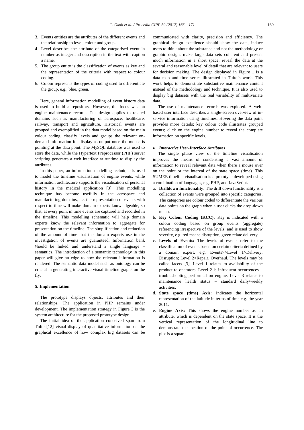- 3. Events entities are the attributes of the different events and the relationship to level, colour and group.
- 4. Level describes the attribute of the categorised event in number as integer and description in the text with caption a name.
- 5. The group entity is the classification of events as key and the representation of the criteria with respect to colour coding.
- 6. Colour represents the types of coding used to differentiate the group, e.g., blue, green.

Here, general information modelling of event history data is used to build a repository. However, the focus was on engine maintenance records. The design applies to related domains such as manufacturing of aerospace, healthcare, railway, transport and agriculture. Historical events are grouped and exemplified in the data model based on the main colour coding, classify levels and groups the relevant ondemand information for display as output once the mouse is pointing at the data point. The MySQL database was used to store the data, while the Hypertext Preprocessor (PHP) server scripting generates a web interface at runtime to display the attributes.

In this paper, an information modelling technique is used to model the timeline visualisation of engine events, while information architecture supports the visualisation of personal history in the medical application [3]. This modelling technique has become usefully in the aerospace and manufacturing domains, i.e. the representation of events with respect to time will make domain experts knowledgeable, so that, at every point in time events are captured and recorded in the timeline. This modelling schematic will help domain experts know the relevant information to aggregate for presentation on the timeline. The simplification and reduction of the amount of time that the domain experts use in the investigation of events are guaranteed. Information bank should be linked and understand a single language – semantics. The introduction of a semantic technology in this paper will give an edge to how the relevant information is rendered. The semantic data model such as ontology can be crucial in generating interactive visual timeline graphs on the fly.

#### **5. Implementation**

The prototype displays objects, attributes and their relationships. The application in PHP remains under development. The implementation strategy in Figure 3 is the system architecture for the proposed prototype design.

The initial idea of the application conceived span from Tufte [12] visual display of quantitative information on the graphical excellence of how complex big datasets can be

communicated with clarity, precision and efficiency. The graphical design excellence should show the data, induce users to think about the substance and not the methodology or graphic design, make large data sets coherent and present much information in a short space, reveal the data at the several and reasonable level of detail that are relevant to users for decision making. The design displayed in Figure 1 is a data map and time series illustrated in Tufte's work. This work helps to demonstrate substantive maintenance content instead of the methodology and technique. It is also used to display big datasets with the real variability of multivariate data.

The use of maintenance records was explored. A webbased user interface describes a single-screen overview of inservice information using timelines. Hovering the data point provides more details; key colour code illustrates grouped events; click on the engine number to reveal the complete information on specific levels.

### x *Interactive User-Interface Attributes*

The single phase view of the timeline visualisation improves the means of condensing a vast amount of information to reveal relevant data when there a mouse over on the point or the interval of the state space (time). This SUMEE timeline visualisation is a prototype developed using a combination of languages, e.g. PHP, and JavaScript.

- a. **Drilldown functionality:** The drill down functionality is a collection of events were grouped into specific categories. The categories are colour coded to differentiate the various data points on the graph when a user clicks the drop-down menu.
- b. **Key Colour Coding (KCC):** Key is indicated with a colour coding based on group events (aggregate) referencing irrespective of the levels, and is used to show severity, e.g. red means disruption, green relate delivery.
- c. **Levels of Events:** The levels of events refer to the classification of events based on certain criteria defined by a domain expert, e.g. Events>>Level 1>Delivery, Disruption; Level 2>Repair, Overhaul. The levels may be called facets [3]. Level 1 relates to availability of the product to operators. Level 2 is infrequent occurrences – troubleshooting performed on engine. Level 3 relates to maintenance health status – standard daily/weekly activities.
- d. **State space (time) Axis:** Indicates the horizontal representation of the latitude in terms of time e.g. the year 2011.
- e. **Engine Axis:** This shows the engine number as an attribute, which is dependent on the state space. It is the vertical representation of the longitudinal line to demonstrate the location of the point of occurrence. The plot is a square.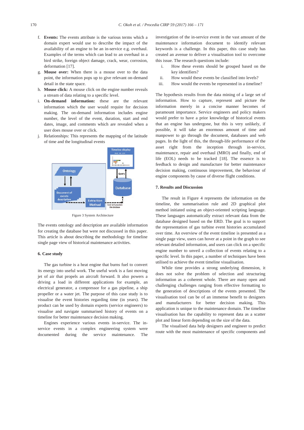- f. **Events:** The events attribute is the various terms which a domain expert would use to describe the impact of the availability of an engine to be an in-service e.g. overhaul. Examples of the terms which can lead to an overhaul in a bird strike, foreign object damage, crack, wear, corrosion, deformation [17].
- g. **Mouse over:** When there is a mouse over to the data point, the information pops up to give relevant on-demand detail in the state space.
- h. **Mouse click:** A mouse click on the engine number reveals a stream of data relating to a specific level.
- i. **On-demand information:** these are the relevant information which the user would require for decision making. The on-demand information includes engine number, the level of the event, duration, start and end dates, image, and comments which are revealed when a user does mouse over or click.
- j. Relationships: This represents the mapping of the latitude of time and the longitudinal events



Figure 3 System Architecture

The events ontology and description are available information for creating the database but were not discussed in this paper. This article is about describing the methodology for timeline single page view of historical maintenance activities.

# **6. Case study**

The gas turbine is a heat engine that burns fuel to convert its energy into useful work. The useful work is a fast moving jet of air that propels an aircraft forward. It also powers a driving a load in different applications for example, an electrical generator, a compressor for a gas pipeline, a ship propeller or a water jet. The purpose of this case study is to visualise the event histories regarding time (in years). The product can be used by domain experts (service engineers) to visualise and navigate summarised history of events on a timeline for better maintenance decision making.

Engines experience various events in-service. The inservice events in a complex engineering system were documented during the service maintenance. The

investigation of the in-service event in the vast amount of the maintenance information document to identify relevant keywords is a challenge. In this paper, this case study has created an avenue to deliver a visualisation tool to overcome this issue. The research questions include:

- i. How these events should be grouped based on the key identifiers?
- ii. How would these events be classified into levels?
- iii. How would the events be represented in a timeline?

The hypothesis results from the data mining of a large set of information. How to capture, represent and picture the information merely in a concise manner becomes of paramount importance. Service engineers and policy makers would prefer to have a prior knowledge of historical events that an engine has undergone, but this is very unlikely, if possible, it will take an enormous amount of time and manpower to go through the document, databases and web pages. In the light of this, the through-life performance of the asset right from the inception through in-service, maintenance, repair and overhaul (MRO) and finally, end of life (EOL) needs to be tracked [18]. The essence is to feedback to design and manufacture for better maintenance decision making, continuous improvement, the behaviour of engine components by cause of diverse flight conditions.

### **7. Results and Discussion**

The result in Figure 4 represents the information on the timeline, the summarisation rule and 2D graphical plot method initiated using an object-oriented scripting language. These languages automatically extract relevant data from the database designed based on the ERD. The goal is to support the representation of gas turbine event histories accumulated over time. An overview of the event timeline is presented as a single page view, users can hover at a point in the graph to see relevant detailed information, and users can click on a specific engine number to unveil a collection of events relating to a specific level. In this paper, a number of techniques have been utilised to achieve the event timeline visualisation.

While time provides a strong underlying dimension, it does not solve the problem of selection and structuring information as a coherent whole. There are many open and challenging challenges ranging from effective formatting to the generation of descriptions of the events presented. The visualisation tool can be of an immense benefit to designers and manufacturers for better decision making. This application is unique to the maintenance domain. The timeline visualisation has the capability to represent data as a scatter plot and linear form depending on the size of the data.

The visualised data help designers and engineer to predict route with the most maintenance of specific components and